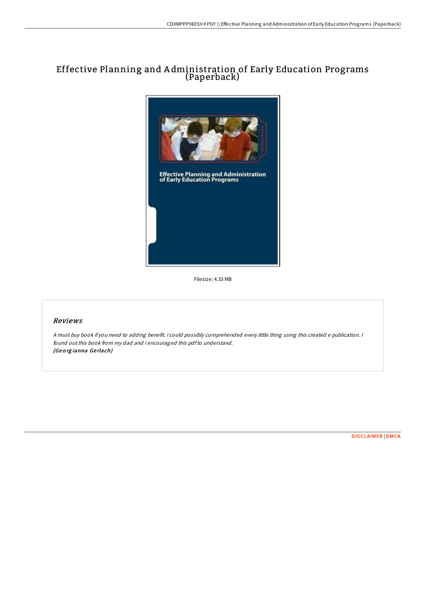## Effective Planning and A dministration of Early Education Programs (Paperback)



Filesize: 4.33 MB

## Reviews

<sup>A</sup> must buy book if you need to adding benefit. <sup>I</sup> could possibly comprehended every little thing using this created <sup>e</sup> publication. <sup>I</sup> found out this book from my dad and i encouraged this pdfto understand. (Geo rg ianna Ge rlach)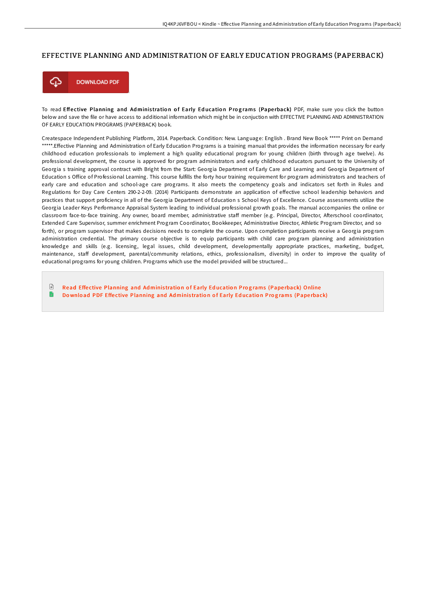## EFFECTIVE PLANNING AND ADMINISTRATION OF EARLY EDUCATION PROGRAMS (PAPERBACK)



To read Effective Planning and Administration of Early Education Programs (Paperback) PDF, make sure you click the button below and save the file or have access to additional information which might be in conjuction with EFFECTIVE PLANNING AND ADMINISTRATION OF EARLY EDUCATION PROGRAMS (PAPERBACK) book.

Createspace Independent Publishing Platform, 2014. Paperback. Condition: New. Language: English . Brand New Book \*\*\*\*\* Print on Demand \*\*\*\*\*.Effective Planning and Administration of Early Education Programs is a training manual that provides the information necessary for early childhood education professionals to implement a high quality educational program for young children (birth through age twelve). As professional development, the course is approved for program administrators and early childhood educators pursuant to the University of Georgia s training approval contract with Bright from the Start: Georgia Department of Early Care and Learning and Georgia Department of Education s Office of Professional Learning. This course fulfills the forty hour training requirement for program administrators and teachers of early care and education and school-age care programs. It also meets the competency goals and indicators set forth in Rules and Regulations for Day Care Centers 290-2-2-09. (2014) Participants demonstrate an application of effective school leadership behaviors and practices that support proficiency in all of the Georgia Department of Education s School Keys of Excellence. Course assessments utilize the Georgia Leader Keys Performance Appraisal System leading to individual professional growth goals. The manual accompanies the online or classroom face-to-face training. Any owner, board member, administrative staff member (e.g. Principal, Director, Afterschool coordinator, Extended Care Supervisor, summer enrichment Program Coordinator, Bookkeeper, Administrative Director, Athletic Program Director, and so forth), or program supervisor that makes decisions needs to complete the course. Upon completion participants receive a Georgia program administration credential. The primary course objective is to equip participants with child care program planning and administration knowledge and skills (e.g. licensing, legal issues, child development, developmentally appropriate practices, marketing, budget, maintenance, staff development, parental/community relations, ethics, professionalism, diversity) in order to improve the quality of educational programs for young children. Programs which use the model provided will be structured...

 $\mathbb{R}$ Read Effective [Planning](http://almighty24.tech/effective-planning-and-administration-of-early-e.html) and Administration of Early Education Programs (Paperback) Online h Download PDF Effective [Planning](http://almighty24.tech/effective-planning-and-administration-of-early-e.html) and Administration of Early Education Programs (Paperback)